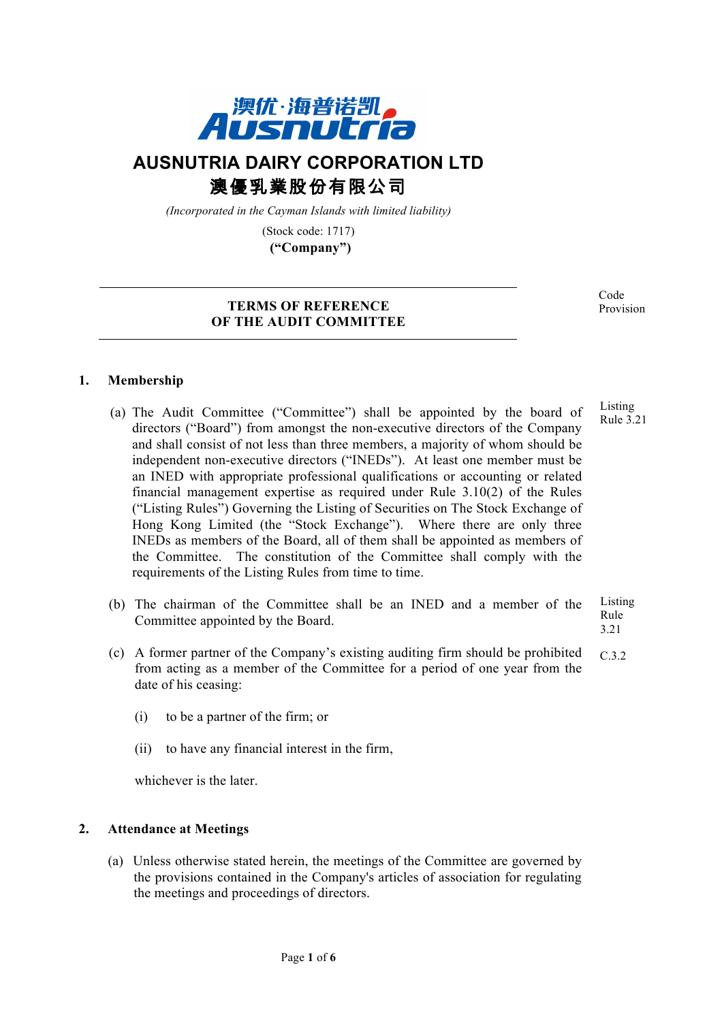

# **AUSNUTRIA DAIRY CORPORATION LTD** 澳優乳業股份有限公司

*(Incorporated in the Cayman Islands with limited liability)*

(Stock code: 1717) **("Company")**

## **TERMS OF REFERENCE OF THE AUDIT COMMITTEE**

Code Provision

# **1. Membership**

- (a) The Audit Committee ("Committee") shall be appointed by the board of directors ("Board") from amongst the non-executive directors of the Company and shall consist of not less than three members, a majority of whom should be independent non-executive directors ("INEDs"). At least one member must be an INED with appropriate professional qualifications or accounting or related financial management expertise as required under Rule 3.10(2) of the Rules ("Listing Rules") Governing the Listing of Securities on The Stock Exchange of Hong Kong Limited (the "Stock Exchange"). Where there are only three INEDs as members of the Board, all of them shall be appointed as members of the Committee. The constitution of the Committee shall comply with the requirements of the Listing Rules from time to time. Listing Rule 3.21
- (b) The chairman of the Committee shall be an INED and a member of the Committee appointed by the Board. Listing Rule 3.21
- (c) A former partner of the Company's existing auditing firm should be prohibited from acting as a member of the Committee for a period of one year from the date of his ceasing: C.3.2
	- (i) to be a partner of the firm; or
	- (ii) to have any financial interest in the firm,

whichever is the later.

## **2. Attendance at Meetings**

(a) Unless otherwise stated herein, the meetings of the Committee are governed by the provisions contained in the Company's articles of association for regulating the meetings and proceedings of directors.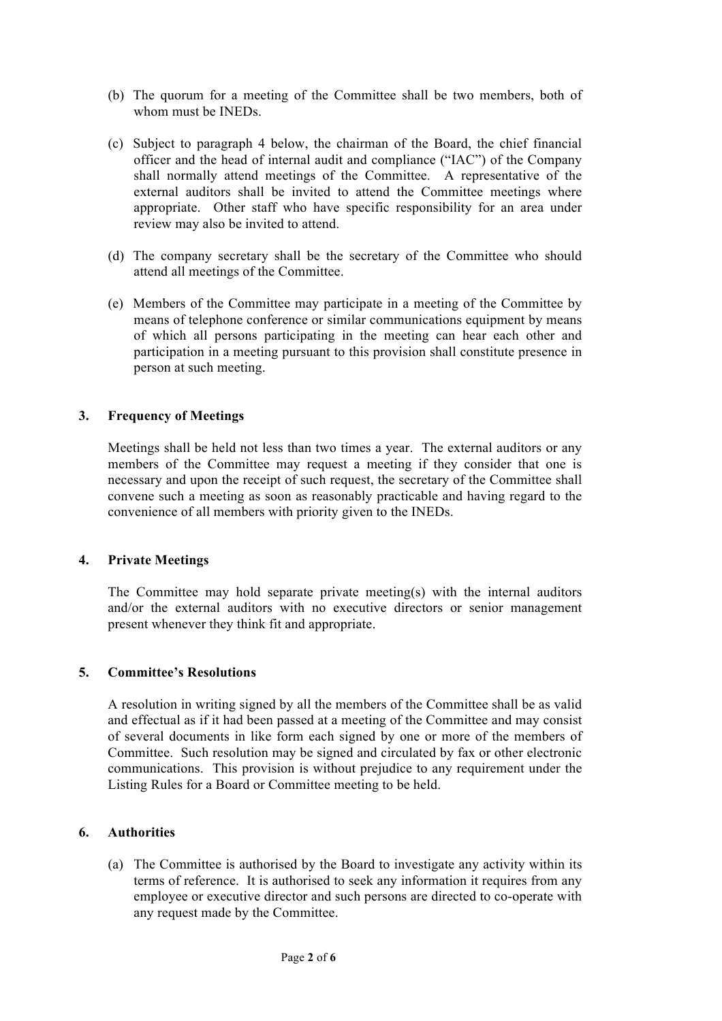- (b) The quorum for a meeting of the Committee shall be two members, both of whom must be INEDs.
- (c) Subject to paragraph 4 below, the chairman of the Board, the chief financial officer and the head of internal audit and compliance ("IAC") of the Company shall normally attend meetings of the Committee. A representative of the external auditors shall be invited to attend the Committee meetings where appropriate. Other staff who have specific responsibility for an area under review may also be invited to attend.
- (d) The company secretary shall be the secretary of the Committee who should attend all meetings of the Committee.
- (e) Members of the Committee may participate in a meeting of the Committee by means of telephone conference or similar communications equipment by means of which all persons participating in the meeting can hear each other and participation in a meeting pursuant to this provision shall constitute presence in person at such meeting.

## **3. Frequency of Meetings**

Meetings shall be held not less than two times a year. The external auditors or any members of the Committee may request a meeting if they consider that one is necessary and upon the receipt of such request, the secretary of the Committee shall convene such a meeting as soon as reasonably practicable and having regard to the convenience of all members with priority given to the INEDs.

#### **4. Private Meetings**

The Committee may hold separate private meeting(s) with the internal auditors and/or the external auditors with no executive directors or senior management present whenever they think fit and appropriate.

#### **5. Committee's Resolutions**

A resolution in writing signed by all the members of the Committee shall be as valid and effectual as if it had been passed at a meeting of the Committee and may consist of several documents in like form each signed by one or more of the members of Committee. Such resolution may be signed and circulated by fax or other electronic communications. This provision is without prejudice to any requirement under the Listing Rules for a Board or Committee meeting to be held.

#### **6. Authorities**

(a) The Committee is authorised by the Board to investigate any activity within its terms of reference. It is authorised to seek any information it requires from any employee or executive director and such persons are directed to co-operate with any request made by the Committee.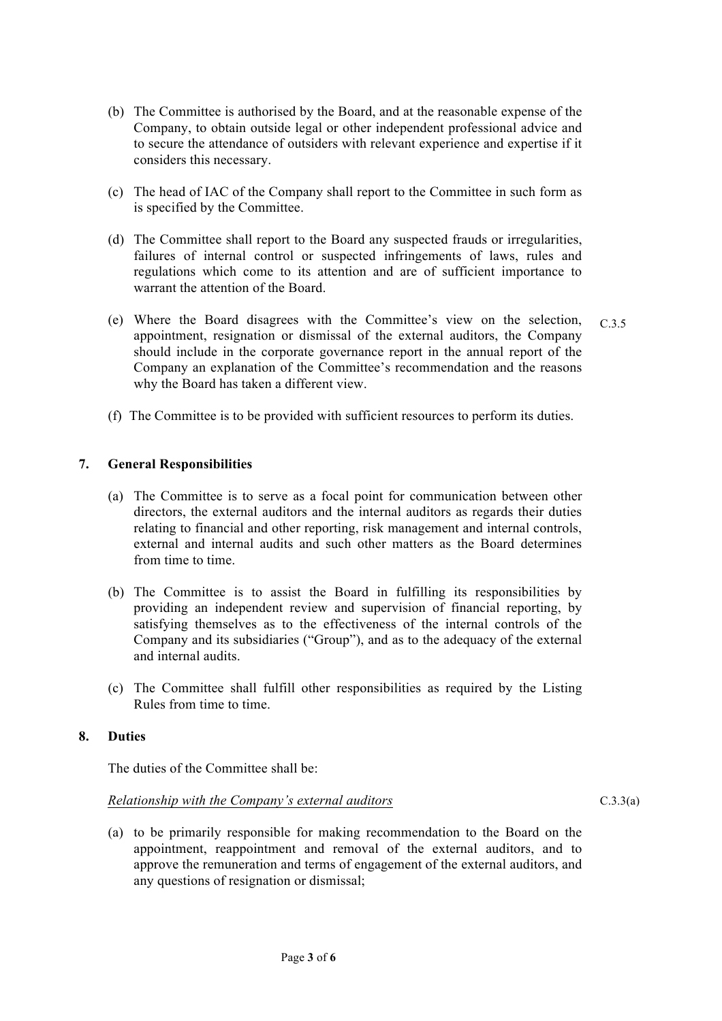- (b) The Committee is authorised by the Board, and at the reasonable expense of the Company, to obtain outside legal or other independent professional advice and to secure the attendance of outsiders with relevant experience and expertise if it considers this necessary.
- (c) The head of IAC of the Company shall report to the Committee in such form as is specified by the Committee.
- (d) The Committee shall report to the Board any suspected frauds or irregularities, failures of internal control or suspected infringements of laws, rules and regulations which come to its attention and are of sufficient importance to warrant the attention of the Board.
- (e) Where the Board disagrees with the Committee's view on the selection, appointment, resignation or dismissal of the external auditors, the Company should include in the corporate governance report in the annual report of the Company an explanation of the Committee's recommendation and the reasons why the Board has taken a different view. C.3.5
- (f) The Committee is to be provided with sufficient resources to perform its duties.

## **7. General Responsibilities**

- (a) The Committee is to serve as a focal point for communication between other directors, the external auditors and the internal auditors as regards their duties relating to financial and other reporting, risk management and internal controls, external and internal audits and such other matters as the Board determines from time to time.
- (b) The Committee is to assist the Board in fulfilling its responsibilities by providing an independent review and supervision of financial reporting, by satisfying themselves as to the effectiveness of the internal controls of the Company and its subsidiaries ("Group"), and as to the adequacy of the external and internal audits.
- (c) The Committee shall fulfill other responsibilities as required by the Listing Rules from time to time.

## **8. Duties**

The duties of the Committee shall be:

#### *Relationship with the Company's external auditors*

(a) to be primarily responsible for making recommendation to the Board on the appointment, reappointment and removal of the external auditors, and to approve the remuneration and terms of engagement of the external auditors, and any questions of resignation or dismissal;

 $C.3.3(a)$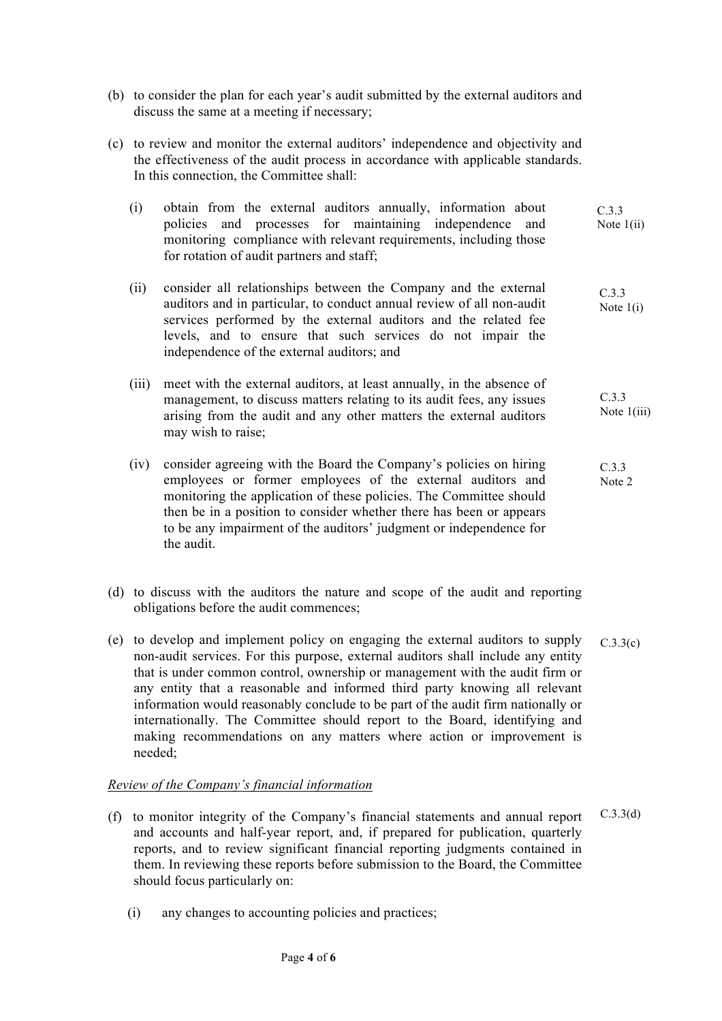- (b) to consider the plan for each year's audit submitted by the external auditors and discuss the same at a meeting if necessary;
- (c) to review and monitor the external auditors' independence and objectivity and the effectiveness of the audit process in accordance with applicable standards. In this connection, the Committee shall:
	- (i) obtain from the external auditors annually, information about policies and processes for maintaining independence and monitoring compliance with relevant requirements, including those for rotation of audit partners and staff; Note  $1(i)$  $\sum_{i=1}^{n}$ C.3.3
	- (ii) consider all relationships between the Company and the external auditors and in particular, to conduct annual review of all non-audit services performed by the external auditors and the related fee levels, and to ensure that such services do not impair the independence of the external auditors; and C.3.3 Note 1(i)
	- (iii) meet with the external auditors, at least annually, in the absence of management, to discuss matters relating to its audit fees, any issues arising from the audit and any other matters the external auditors may wish to raise; C.3.3 Note 1(iii)
	- (iv) consider agreeing with the Board the Company's policies on hiring employees or former employees of the external auditors and monitoring the application of these policies. The Committee should then be in a position to consider whether there has been or appears to be any impairment of the auditors' judgment or independence for the audit. C.3.3 Note 2
- (d) to discuss with the auditors the nature and scope of the audit and reporting obligations before the audit commences;
- (e) to develop and implement policy on engaging the external auditors to supply non-audit services. For this purpose, external auditors shall include any entity that is under common control, ownership or management with the audit firm or any entity that a reasonable and informed third party knowing all relevant information would reasonably conclude to be part of the audit firm nationally or internationally. The Committee should report to the Board, identifying and making recommendations on any matters where action or improvement is needed; C.3.3(c)

## *Review of the Company's financial information*

- (f) to monitor integrity of the Company's financial statements and annual report and accounts and half-year report, and, if prepared for publication, quarterly reports, and to review significant financial reporting judgments contained in them. In reviewing these reports before submission to the Board, the Committee should focus particularly on: C.3.3(d)
	- (i) any changes to accounting policies and practices;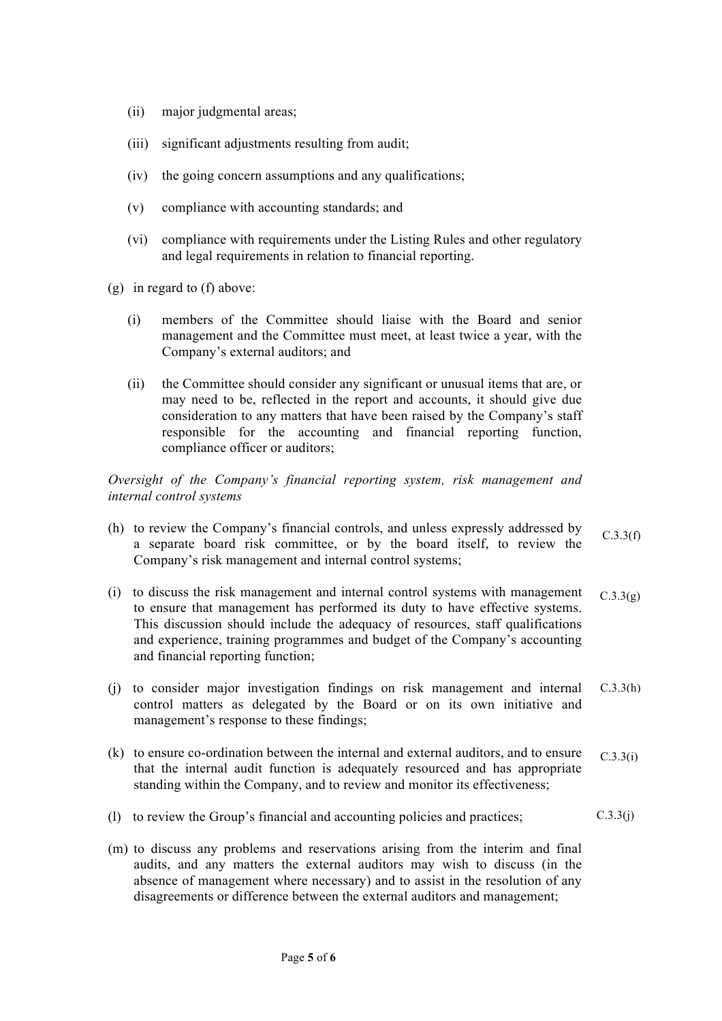- (ii) major judgmental areas;
- (iii) significant adjustments resulting from audit;
- (iv) the going concern assumptions and any qualifications;
- (v) compliance with accounting standards; and
- (vi) compliance with requirements under the Listing Rules and other regulatory and legal requirements in relation to financial reporting.
- (g) in regard to (f) above:
	- (i) members of the Committee should liaise with the Board and senior management and the Committee must meet, at least twice a year, with the Company's external auditors; and
	- (ii) the Committee should consider any significant or unusual items that are, or may need to be, reflected in the report and accounts, it should give due consideration to any matters that have been raised by the Company's staff responsible for the accounting and financial reporting function, compliance officer or auditors;

*Oversight of the Company's financial reporting system, risk management and internal control systems* 

- (h) to review the Company's financial controls, and unless expressly addressed by a separate board risk committee, or by the board itself, to review the Company's risk management and internal control systems;  $C.3.3(f)$
- (i) to discuss the risk management and internal control systems with management to ensure that management has performed its duty to have effective systems. This discussion should include the adequacy of resources, staff qualifications and experience, training programmes and budget of the Company's accounting and financial reporting function;  $C.3.3(g)$
- (j) to consider major investigation findings on risk management and internal control matters as delegated by the Board or on its own initiative and management's response to these findings; C.3.3(h)
- (k) to ensure co-ordination between the internal and external auditors, and to ensure that the internal audit function is adequately resourced and has appropriate standing within the Company, and to review and monitor its effectiveness; C.3.3(i)
- (l) to review the Group's financial and accounting policies and practices;  $C.3.3(j)$
- (m) to discuss any problems and reservations arising from the interim and final audits, and any matters the external auditors may wish to discuss (in the absence of management where necessary) and to assist in the resolution of any disagreements or difference between the external auditors and management;